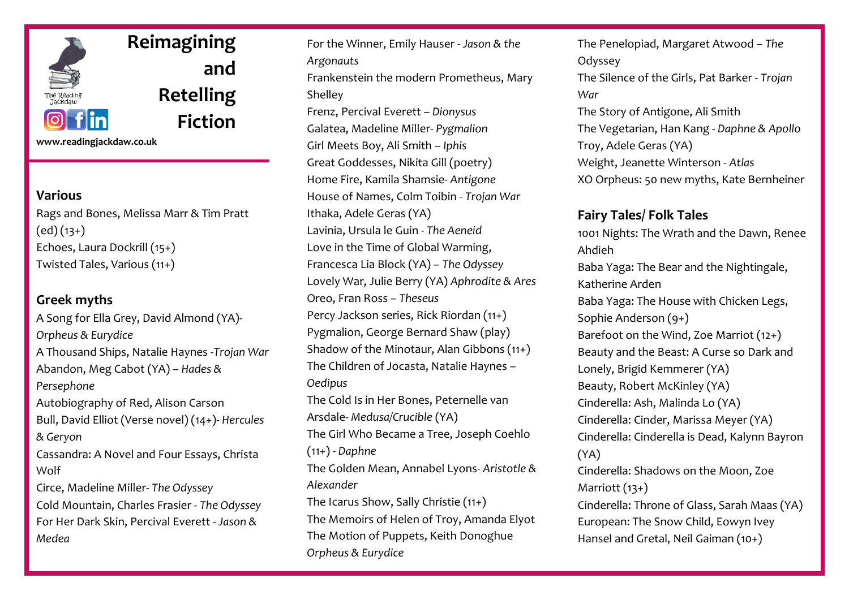

**Reimagining and Retelling Fiction**

**www.readingjackdaw.co.uk**

## **Various**

Rags and Bones, Melissa Marr & Tim Pratt  $(ed)(13+)$ Echoes, Laura Dockrill (15+) Twisted Tales, Various (11+)

# **Greek myths**

A Song for Ella Grey, David Almond (YA)- *Orpheus & Eurydice* A Thousand Ships, Natalie Haynes -*Trojan War* Abandon, Meg Cabot (YA) – *Hades & Persephone* Autobiography of Red, Alison Carson Bull, David Elliot (Verse novel) (14+)- *Hercules & Geryon* Cassandra: A Novel and Four Essays, Christa Wolf Circe, Madeline Miller- *The Odyssey* Cold Mountain, Charles Frasier - *The Odyssey* For Her Dark Skin, Percival Everett *- Jason & Medea*

For the Winner, Emily Hauser - *Jason & the Argonauts* Frankenstein the modern Prometheus, Mary Shelley Frenz, Percival Everett *– Dionysus* Galatea, Madeline Miller- *Pygmalion* Girl Meets Boy, Ali Smith – *Iphis* Great Goddesses, Nikita Gill (poetry) Home Fire, Kamila Shamsie- *Antigone* House of Names, Colm Toibin - *Trojan War* Ithaka, Adele Geras (YA) Lavinia, Ursula le Guin - *The Aeneid* Love in the Time of Global Warming, Francesca Lia Block (YA) – *The Odyssey* Lovely War, Julie Berry (YA) *Aphrodite & Ares* Oreo, Fran Ross – *Theseus* Percy Jackson series, Rick Riordan (11+) Pygmalion, George Bernard Shaw (play) Shadow of the Minotaur, Alan Gibbons (11+) The Children of Jocasta, Natalie Haynes – *Oedipus* The Cold Is in Her Bones, Peternelle van Arsdale- *Medusa/Crucible* (YA) The Girl Who Became a Tree, Joseph Coehlo (11+) - *Daphne* The Golden Mean, Annabel Lyons- *Aristotle & Alexander* The Icarus Show, Sally Christie (11+) The Memoirs of Helen of Troy, Amanda Elyot The Motion of Puppets, Keith Donoghue *Orpheus & Eurydice*

The Penelopiad, Margaret Atwood – *The*  Odyssey The Silence of the Girls, Pat Barker - *Trojan War* The Story of Antigone, Ali Smith The Vegetarian, Han Kang - *Daphne & Apollo* Troy, Adele Geras (YA) Weight, Jeanette Winterson - *Atlas* XO Orpheus: 50 new myths, Kate Bernheiner

## **Fairy Tales/ Folk Tales**

1001 Nights: The Wrath and the Dawn, Renee Ahdieh Baba Yaga: The Bear and the Nightingale, Katherine Arden Baba Yaga: The House with Chicken Legs, Sophie Anderson (9+) Barefoot on the Wind, Zoe Marriot (12+) Beauty and the Beast: A Curse so Dark and Lonely, Brigid Kemmerer (YA) Beauty, Robert McKinley (YA) Cinderella: Ash, Malinda Lo (YA) Cinderella: Cinder, Marissa Meyer (YA) Cinderella: Cinderella is Dead, Kalynn Bayron (YA) Cinderella: Shadows on the Moon, Zoe Marriott (13+) Cinderella: Throne of Glass, Sarah Maas (YA) European: The Snow Child, Eowyn Ivey Hansel and Gretal, Neil Gaiman (10+)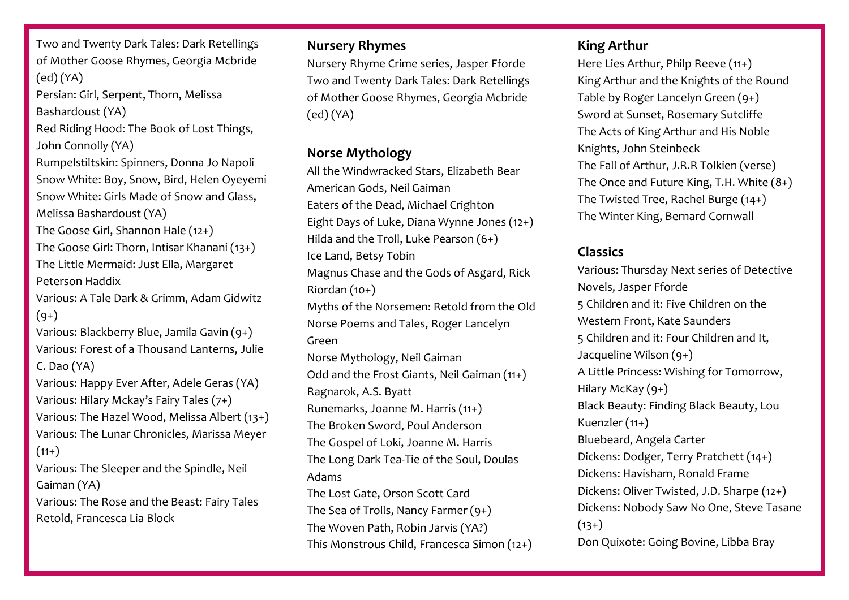Two and Twenty Dark Tales: Dark Retellings of Mother Goose Rhymes, Georgia Mcbride (ed) (YA) Persian: Girl, Serpent, Thorn, Melissa Bashardoust (YA) Red Riding Hood: The Book of Lost Things, John Connolly (YA) Rumpelstiltskin: Spinners, Donna Jo Napoli Snow White: Boy, Snow, Bird, Helen Oyeyemi Snow White: Girls Made of Snow and Glass, Melissa Bashardoust (YA) The Goose Girl, Shannon Hale (12+) The Goose Girl: Thorn, Intisar Khanani (13+) The Little Mermaid: Just Ella, Margaret Peterson Haddix Various: A Tale Dark & Grimm, Adam Gidwitz  $(9+)$ Various: Blackberry Blue, Jamila Gavin (9+) Various: Forest of a Thousand Lanterns, Julie C. Dao (YA) Various: Happy Ever After, Adele Geras (YA) Various: Hilary Mckay's Fairy Tales (7+) Various: The Hazel Wood, Melissa Albert (13+) Various: The Lunar Chronicles, Marissa Meyer  $(11+)$ Various: The Sleeper and the Spindle, Neil Gaiman (YA) Various: The Rose and the Beast: Fairy Tales Retold, Francesca Lia Block

## **Nursery Rhymes**

Nursery Rhyme Crime series, Jasper Fforde Two and Twenty Dark Tales: Dark Retellings of Mother Goose Rhymes, Georgia Mcbride (ed) (YA)

# **Norse Mythology**

All the Windwracked Stars, Elizabeth Bear American Gods, Neil Gaiman Eaters of the Dead, Michael Crighton Eight Days of Luke, Diana Wynne Jones (12+) Hilda and the Troll, Luke Pearson (6+) Ice Land, Betsy Tobin Magnus Chase and the Gods of Asgard, Rick Riordan (10+) Myths of the Norsemen: Retold from the Old Norse Poems and Tales, Roger Lancelyn Green Norse Mythology, Neil Gaiman Odd and the Frost Giants, Neil Gaiman (11+) Ragnarok, A.S. Byatt Runemarks, Joanne M. Harris (11+) The Broken Sword, Poul Anderson The Gospel of Loki, Joanne M. Harris The Long Dark Tea-Tie of the Soul, Doulas Adams The Lost Gate, Orson Scott Card The Sea of Trolls, Nancy Farmer (9+) The Woven Path, Robin Jarvis (YA?) This Monstrous Child, Francesca Simon (12+)

# **King Arthur**

Here Lies Arthur, Philp Reeve (11+) King Arthur and the Knights of the Round Table by Roger Lancelyn Green (9+) Sword at Sunset, Rosemary Sutcliffe The Acts of King Arthur and His Noble Knights, John Steinbeck The Fall of Arthur, J.R.R Tolkien (verse) The Once and Future King, T.H. White (8+) The Twisted Tree, Rachel Burge (14+) The Winter King, Bernard Cornwall

# **Classics**

Various: Thursday Next series of Detective Novels, Jasper Fforde 5 Children and it: Five Children on the Western Front, Kate Saunders 5 Children and it: Four Children and It, Jacqueline Wilson (9+) A Little Princess: Wishing for Tomorrow, Hilary McKay (9+) Black Beauty: Finding Black Beauty, Lou Kuenzler (11+) Bluebeard, Angela Carter Dickens: Dodger, Terry Pratchett (14+) Dickens: Havisham, Ronald Frame Dickens: Oliver Twisted, J.D. Sharpe (12+) Dickens: Nobody Saw No One, Steve Tasane  $(13+)$ Don Quixote: Going Bovine, Libba Bray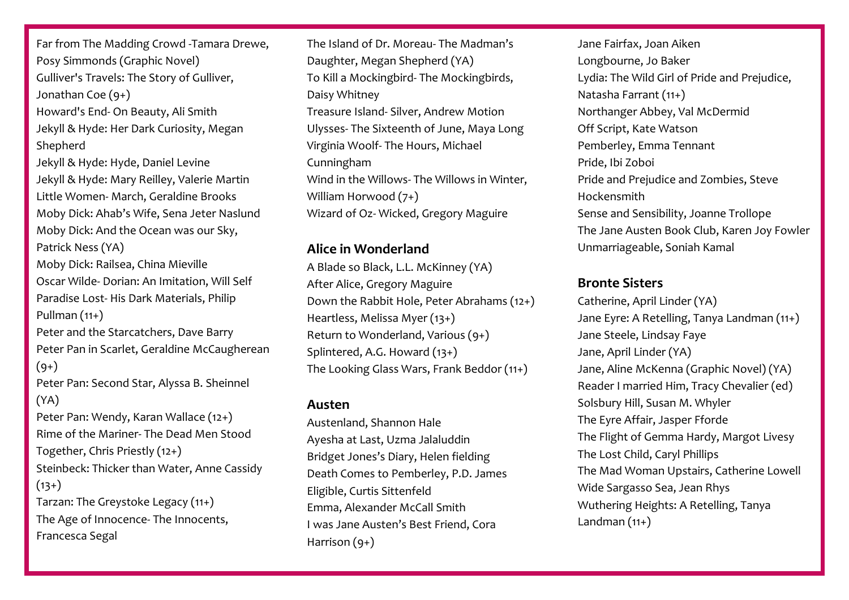Far from The Madding Crowd -Tamara Drewe, Posy Simmonds (Graphic Novel) Gulliver's Travels: The Story of Gulliver, Jonathan Coe (9+) Howard's End- On Beauty, Ali Smith Jekyll & Hyde: Her Dark Curiosity, Megan Shepherd Jekyll & Hyde: Hyde, Daniel Levine Jekyll & Hyde: Mary Reilley, Valerie Martin Little Women- March, Geraldine Brooks Moby Dick: Ahab's Wife, Sena Jeter Naslund Moby Dick: And the Ocean was our Sky, Patrick Ness (YA) Moby Dick: Railsea, China Mieville Oscar Wilde- Dorian: An Imitation, Will Self Paradise Lost- His Dark Materials, Philip Pullman  $(11+)$ Peter and the Starcatchers, Dave Barry Peter Pan in Scarlet, Geraldine McCaugherean  $(9+)$ Peter Pan: Second Star, Alyssa B. Sheinnel

Peter Pan: Wendy, Karan Wallace (12+) Rime of the Mariner- The Dead Men Stood Together, Chris Priestly (12+) Steinbeck: Thicker than Water, Anne Cassidy  $(13+)$ Tarzan: The Greystoke Legacy (11+) The Age of Innocence- The Innocents, Francesca Segal

(YA)

The Island of Dr. Moreau- The Madman's Daughter, Megan Shepherd (YA) To Kill a Mockingbird- The Mockingbirds, Daisy Whitney Treasure Island- Silver, Andrew Motion Ulysses- The Sixteenth of June, Maya Long Virginia Woolf- The Hours, Michael Cunningham Wind in the Willows- The Willows in Winter, William Horwood (7+) Wizard of Oz- Wicked, Gregory Maguire

#### **Alice in Wonderland**

A Blade so Black, L.L. McKinney (YA) After Alice, Gregory Maguire Down the Rabbit Hole, Peter Abrahams (12+) Heartless, Melissa Myer (13+) Return to Wonderland, Various (9+) Splintered, A.G. Howard (13+) The Looking Glass Wars, Frank Beddor (11+)

#### **Austen**

Austenland, Shannon Hale Ayesha at Last, Uzma Jalaluddin Bridget Jones's Diary, Helen fielding Death Comes to Pemberley, P.D. James Eligible, Curtis Sittenfeld Emma, Alexander McCall Smith I was Jane Austen's Best Friend, Cora Harrison (9+)

Jane Fairfax, Joan Aiken Longbourne, Jo Baker Lydia: The Wild Girl of Pride and Prejudice, Natasha Farrant (11+) Northanger Abbey, Val McDermid Off Script, Kate Watson Pemberley, Emma Tennant Pride, Ibi Zoboi Pride and Prejudice and Zombies, Steve Hockensmith Sense and Sensibility, Joanne Trollope The Jane Austen Book Club, Karen Joy Fowler Unmarriageable, Soniah Kamal

## **Bronte Sisters**

Catherine, April Linder (YA) Jane Eyre: A Retelling, Tanya Landman (11+) Jane Steele, Lindsay Faye Jane, April Linder (YA) Jane, Aline McKenna (Graphic Novel) (YA) Reader I married Him, Tracy Chevalier (ed) Solsbury Hill, Susan M. Whyler The Eyre Affair, Jasper Fforde The Flight of Gemma Hardy, Margot Livesy The Lost Child, Caryl Phillips The Mad Woman Upstairs, Catherine Lowell Wide Sargasso Sea, Jean Rhys Wuthering Heights: A Retelling, Tanya Landman  $(11+)$